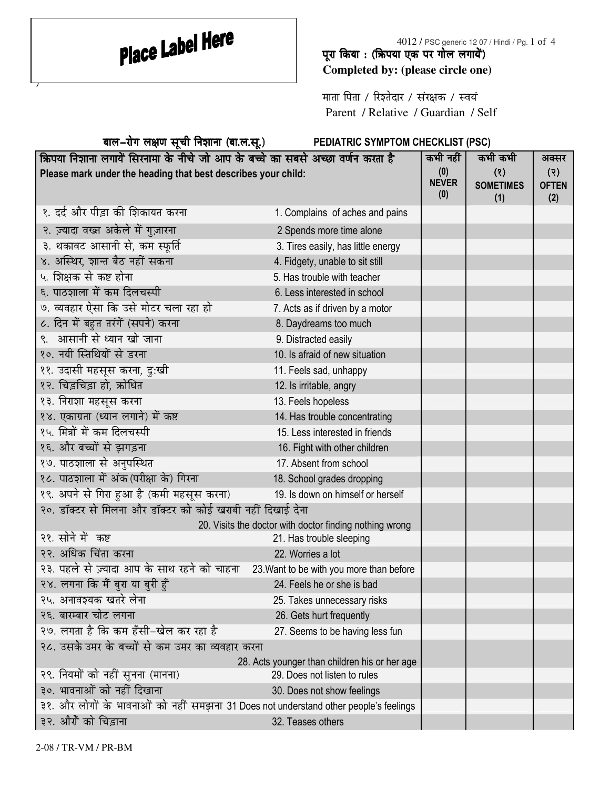$\overline{y}$ 

## पूरा किया : (ऋिपया एक पर गोल लगायें) **Completed by: (please circle one)**

माता पिता / रिश्तेदार / संरक्षक / स्वयं Parent / Relative / Guardian / Self

| बाल-रोग लक्षण सूची निशाना (बा.ल.सू.)                                                 | PEDIATRIC SYMPTOM CHECKLIST (PSC)                       |                            |                                |                            |
|--------------------------------------------------------------------------------------|---------------------------------------------------------|----------------------------|--------------------------------|----------------------------|
| क्रिपया निशाना लगायें सिरनामा के नीचे जो आप के बच्चे का सबसे अच्छा वर्णन करता है     |                                                         | कभी नहीं                   | कभी कभी                        | अक्सर                      |
| Please mark under the heading that best describes your child:                        |                                                         | (0)<br><b>NEVER</b><br>(0) | (8)<br><b>SOMETIMES</b><br>(1) | (3)<br><b>OFTEN</b><br>(2) |
| १. दर्द और पीड़ा की शिकायत करना                                                      | 1. Complains of aches and pains                         |                            |                                |                            |
| २. ज़्यादा वख्त अकेले में गुज़ारना                                                   | 2 Spends more time alone                                |                            |                                |                            |
| ३. थकावट आसानी से, कम स्फूर्ति                                                       | 3. Tires easily, has little energy                      |                            |                                |                            |
| ४. अस्थिर, शान्त बैठ नहीं सकना                                                       | 4. Fidgety, unable to sit still                         |                            |                                |                            |
| ५. शिक्षक से कष्ट होना                                                               | 5. Has trouble with teacher                             |                            |                                |                            |
| ६. पाठशाला में कम दिलचस्पी                                                           | 6. Less interested in school                            |                            |                                |                            |
| ७. व्यवहार ऐसा कि उसे मोटर चला रहा हो                                                | 7. Acts as if driven by a motor                         |                            |                                |                            |
| ८. दिन में बहुत तरंगें (सपने) करना                                                   | 8. Daydreams too much                                   |                            |                                |                            |
| ९. आसानी से ध्यान खो जाना                                                            | 9. Distracted easily                                    |                            |                                |                            |
| १०. नयी स्तिथियों से डरना                                                            | 10. Is afraid of new situation                          |                            |                                |                            |
| ११. उदासी महसूस करना, दु:खी                                                          | 11. Feels sad, unhappy                                  |                            |                                |                            |
| १२. चिड़चिड़ा हो, ऋोधित                                                              | 12. Is irritable, angry                                 |                            |                                |                            |
| १३. निराशा महसूस करना                                                                | 13. Feels hopeless                                      |                            |                                |                            |
| १४. एकाग्रता (ध्यान लगाने) में कष्ट                                                  | 14. Has trouble concentrating                           |                            |                                |                            |
| १५. मित्रों में कम दिलचस्पी                                                          | 15. Less interested in friends                          |                            |                                |                            |
| १६. और बच्चों से झगड़ना                                                              | 16. Fight with other children                           |                            |                                |                            |
| १७. पाठशाला से अनुपस्थित                                                             | 17. Absent from school                                  |                            |                                |                            |
| १८. पाठशाला में अंक (परीक्षा के) गिरना                                               | 18. School grades dropping                              |                            |                                |                            |
| १९. अपने से गिरा हुआ है (कमी महसूस करना)                                             | 19. Is down on himself or herself                       |                            |                                |                            |
| २०. डॉक्टर से मिलना और डॉक्टर को कोई खराबी नहीं दिखाई देना                           |                                                         |                            |                                |                            |
|                                                                                      | 20. Visits the doctor with doctor finding nothing wrong |                            |                                |                            |
| २१. सोने में कष्ट                                                                    | 21. Has trouble sleeping                                |                            |                                |                            |
| २२. अधिक चिंता करना                                                                  | 22. Worries a lot                                       |                            |                                |                            |
| २३. पहले से ज़्यादा आप के साथ रहने को चाहना 23. Want to be with you more than before |                                                         |                            |                                |                            |
| २४. लगना कि मैं बुरा या बुरी हुँ                                                     | 24. Feels he or she is bad                              |                            |                                |                            |
| २५. अनावश्यक खतरे लेना                                                               | 25. Takes unnecessary risks                             |                            |                                |                            |
| २६. बारम्बार चोट लगना                                                                | 26. Gets hurt frequently                                |                            |                                |                            |
| २७. लगता है कि कम हँसी–खेल कर रहा है                                                 | 27. Seems to be having less fun                         |                            |                                |                            |
| २८. उसके उमर के बच्चों से कम उमर का व्यवहार करना                                     |                                                         |                            |                                |                            |
|                                                                                      | 28. Acts younger than children his or her age           |                            |                                |                            |
| २९. नियमों को नहीं सुनना (मानना)                                                     | 29. Does not listen to rules                            |                            |                                |                            |
| ३०. भावनाओं को नहीं दिखाना                                                           | 30. Does not show feelings                              |                            |                                |                            |
| ३१. और लोगों के भावनाओं को नहीं समझना 31 Does not understand other people's feelings |                                                         |                            |                                |                            |
| ३२. औरों को चिड़ाना                                                                  | 32. Teases others                                       |                            |                                |                            |

2-08 / TR-VM / PR-BM